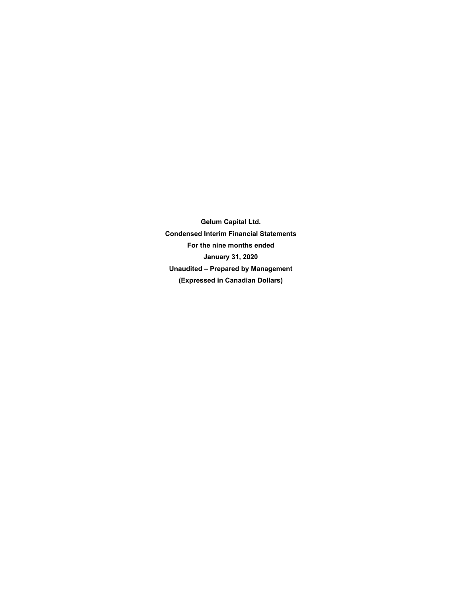**Gelum Capital Ltd. Condensed Interim Financial Statements For the nine months ended January 31, 2020 Unaudited – Prepared by Management (Expressed in Canadian Dollars)**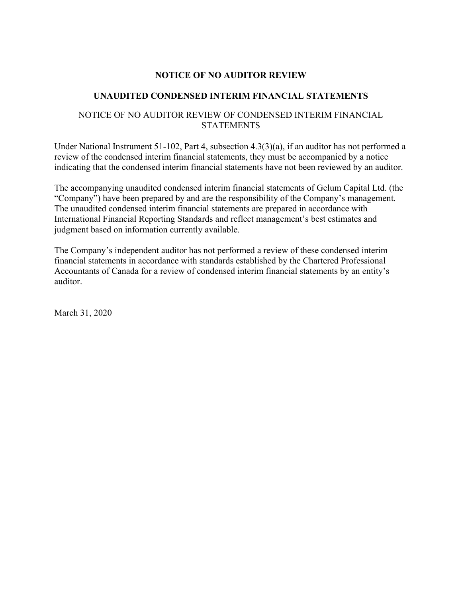# **NOTICE OF NO AUDITOR REVIEW**

# **UNAUDITED CONDENSED INTERIM FINANCIAL STATEMENTS**

# NOTICE OF NO AUDITOR REVIEW OF CONDENSED INTERIM FINANCIAL **STATEMENTS**

Under National Instrument 51-102, Part 4, subsection 4.3(3)(a), if an auditor has not performed a review of the condensed interim financial statements, they must be accompanied by a notice indicating that the condensed interim financial statements have not been reviewed by an auditor.

The accompanying unaudited condensed interim financial statements of Gelum Capital Ltd. (the "Company") have been prepared by and are the responsibility of the Company's management. The unaudited condensed interim financial statements are prepared in accordance with International Financial Reporting Standards and reflect management's best estimates and judgment based on information currently available.

The Company's independent auditor has not performed a review of these condensed interim financial statements in accordance with standards established by the Chartered Professional Accountants of Canada for a review of condensed interim financial statements by an entity's auditor.

March 31, 2020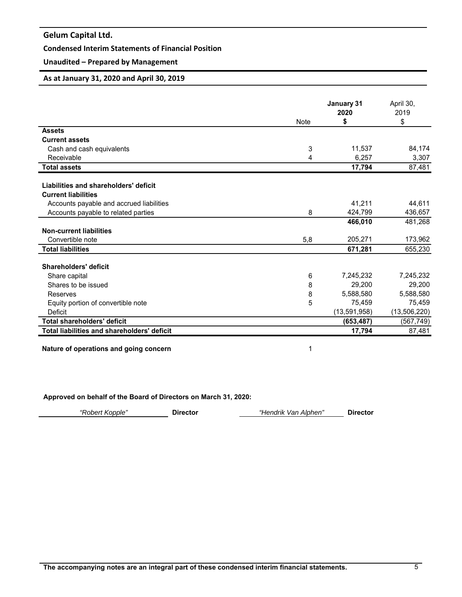# **Condensed Interim Statements of Financial Position**

# **Unaudited – Prepared by Management**

# **As at January 31, 2020 and April 30, 2019**

|                                                    |      | January 31<br>2020 | April 30,<br>2019 |
|----------------------------------------------------|------|--------------------|-------------------|
|                                                    | Note | \$                 | \$                |
| <b>Assets</b>                                      |      |                    |                   |
| <b>Current assets</b>                              |      |                    |                   |
| Cash and cash equivalents                          | 3    | 11,537             | 84,174            |
| Receivable                                         | 4    | 6,257              | 3,307             |
| <b>Total assets</b>                                |      | 17,794             | 87,481            |
|                                                    |      |                    |                   |
| Liabilities and shareholders' deficit              |      |                    |                   |
| <b>Current liabilities</b>                         |      |                    |                   |
| Accounts payable and accrued liabilities           |      | 41,211             | 44,611            |
| Accounts payable to related parties                | 8    | 424,799            | 436,657           |
|                                                    |      | 466,010            | 481,268           |
| <b>Non-current liabilities</b>                     |      |                    |                   |
| Convertible note                                   | 5,8  | 205,271            | 173,962           |
| <b>Total liabilities</b>                           |      | 671,281            | 655,230           |
| Shareholders' deficit                              |      |                    |                   |
| Share capital                                      | 6    | 7,245,232          | 7,245,232         |
| Shares to be issued                                | 8    | 29,200             | 29,200            |
| Reserves                                           | 8    | 5,588,580          | 5,588,580         |
| Equity portion of convertible note                 | 5    | 75,459             | 75,459            |
| Deficit                                            |      | (13, 591, 958)     | (13, 506, 220)    |
| Total shareholders' deficit                        |      | (653, 487)         | (567, 749)        |
| <b>Total liabilities and shareholders' deficit</b> |      | 17,794             | 87,481            |

**Nature of operations and going concern** 1

**Approved on behalf of the Board of Directors on March 31, 2020:**

| "Robert Kopple" | <b>Director</b> | "Hendrik Van Alphen" | <b>Director</b> |
|-----------------|-----------------|----------------------|-----------------|
|                 |                 |                      |                 |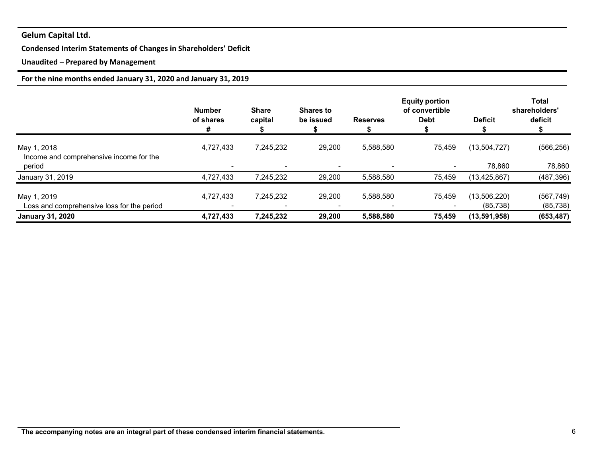# **Condensed Interim Statements of Changes in Shareholders' Deficit**

# **Unaudited – Prepared by Management**

# **For the nine months ended January 31, 2020 and January 31, 2019**

|                                                        | <b>Number</b><br>of shares<br># | <b>Share</b><br>capital  | <b>Shares to</b><br>be issued | <b>Reserves</b> | <b>Equity portion</b><br>of convertible<br><b>Debt</b> | <b>Deficit</b> | Total<br>shareholders'<br>deficit |
|--------------------------------------------------------|---------------------------------|--------------------------|-------------------------------|-----------------|--------------------------------------------------------|----------------|-----------------------------------|
| May 1, 2018<br>Income and comprehensive income for the | 4,727,433                       | 7,245,232                | 29,200                        | 5,588,580       | 75,459                                                 | (13,504,727)   | (566, 256)                        |
| period                                                 |                                 | $\overline{\phantom{0}}$ |                               |                 | $\blacksquare$                                         | 78,860         | 78,860                            |
| January 31, 2019                                       | 4,727,433                       | 7,245,232                | 29,200                        | 5,588,580       | 75.459                                                 | (13, 425, 867) | (487, 396)                        |
| May 1, 2019                                            | 4,727,433                       | 7,245,232                | 29,200                        | 5,588,580       | 75,459                                                 | (13,506,220)   | (567, 749)                        |
| Loss and comprehensive loss for the period             |                                 |                          |                               |                 |                                                        | (85, 738)      | (85, 738)                         |
| <b>January 31, 2020</b>                                | 4,727,433                       | 7,245,232                | 29,200                        | 5,588,580       | 75,459                                                 | (13,591,958)   | (653, 487)                        |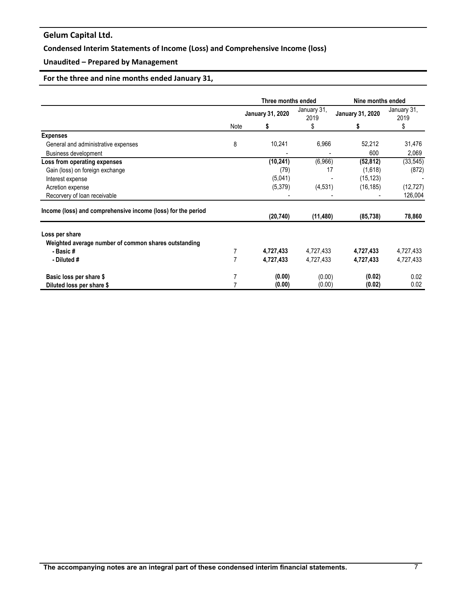# **Condensed Interim Statements of Income (Loss) and Comprehensive Income (loss)**

# **Unaudited – Prepared by Management**

# **For the three and nine months ended January 31,**

|                                                              |      | Three months ended      |                     | Nine months ended       |                     |  |
|--------------------------------------------------------------|------|-------------------------|---------------------|-------------------------|---------------------|--|
|                                                              |      | <b>January 31, 2020</b> | January 31,<br>2019 | <b>January 31, 2020</b> | January 31,<br>2019 |  |
|                                                              | Note | S                       | \$                  | S                       | \$                  |  |
| <b>Expenses</b>                                              |      |                         |                     |                         |                     |  |
| General and administrative expenses                          | 8    | 10,241                  | 6,966               | 52,212                  | 31,476              |  |
| <b>Business development</b>                                  |      |                         |                     | 600                     | 2,069               |  |
| Loss from operating expenses                                 |      | (10, 241)               | (6,966)             | (52, 812)               | (33,545)            |  |
| Gain (loss) on foreign exchange                              |      | (79)                    | 17                  | (1,618)                 | (872)               |  |
| Interest expense                                             |      | (5,041)                 |                     | (15, 123)               |                     |  |
| Acretion expense                                             |      | (5,379)                 | (4, 531)            | (16, 185)               | (12, 727)           |  |
| Recorvery of loan receivable                                 |      |                         |                     |                         | 126,004             |  |
| Income (loss) and comprehensive income (loss) for the period |      | (20, 740)               | (11, 480)           | (85, 738)               | 78,860              |  |
| Loss per share                                               |      |                         |                     |                         |                     |  |
| Weighted average number of common shares outstanding         |      |                         |                     |                         |                     |  |
| - Basic #                                                    |      | 4,727,433               | 4,727,433           | 4,727,433               | 4,727,433           |  |
| - Diluted #                                                  | 7    | 4,727,433               | 4,727,433           | 4,727,433               | 4,727,433           |  |
| Basic loss per share \$                                      |      | (0.00)                  | (0.00)              | (0.02)                  | 0.02                |  |
| Diluted loss per share \$                                    |      | (0.00)                  | (0.00)              | (0.02)                  | 0.02                |  |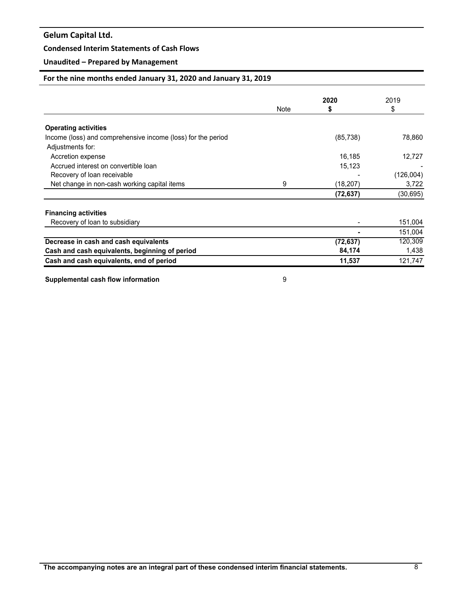# **Condensed Interim Statements of Cash Flows**

# **Unaudited – Prepared by Management**

# **For the nine months ended January 31, 2020 and January 31, 2019**

|                                                                                  |      | 2020      | 2019      |
|----------------------------------------------------------------------------------|------|-----------|-----------|
|                                                                                  | Note | 5         | \$        |
| <b>Operating activities</b>                                                      |      |           |           |
| Income (loss) and comprehensive income (loss) for the period<br>Adjustments for: |      | (85, 738) | 78,860    |
| Accretion expense                                                                |      | 16,185    | 12,727    |
| Accrued interest on convertible loan                                             |      | 15,123    |           |
| Recovery of loan receivable                                                      |      |           | (126,004) |
| Net change in non-cash working capital items                                     | 9    | (18, 207) | 3,722     |
|                                                                                  |      | (72, 637) | (30, 695) |
| <b>Financing activities</b>                                                      |      |           |           |
| Recovery of loan to subsidiary                                                   |      |           | 151,004   |
|                                                                                  |      |           | 151,004   |
| Decrease in cash and cash equivalents                                            |      | (72, 637) | 120,309   |
| Cash and cash equivalents, beginning of period                                   |      | 84,174    | 1,438     |
| Cash and cash equivalents, end of period                                         |      | 11,537    | 121,747   |

**Supplemental cash flow information 9**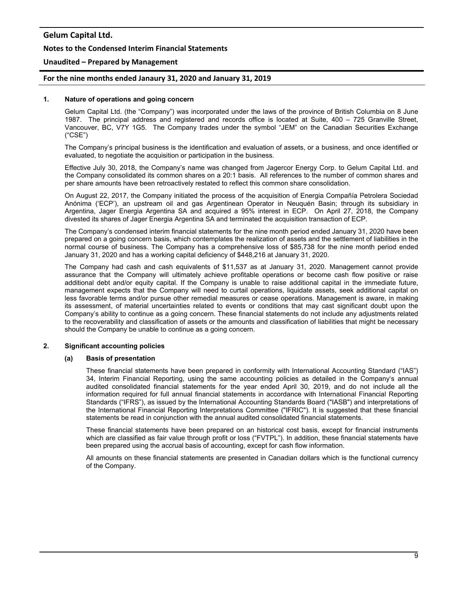### **Notes to the Condensed Interim Financial Statements**

### **Unaudited – Prepared by Management**

## **For the nine months ended Janaury 31, 2020 and January 31, 2019**

#### **1. Nature of operations and going concern**

Gelum Capital Ltd. (the "Company") was incorporated under the laws of the province of British Columbia on 8 June 1987. The principal address and registered and records office is located at Suite, 400 – 725 Granville Street, Vancouver, BC, V7Y 1G5. The Company trades under the symbol "JEM" on the Canadian Securities Exchange ("CSE")

The Company's principal business is the identification and evaluation of assets, or a business, and once identified or evaluated, to negotiate the acquisition or participation in the business.

Effective July 30, 2018, the Company's name was changed from Jagercor Energy Corp. to Gelum Capital Ltd. and the Company consolidated its common shares on a 20:1 basis. All references to the number of common shares and per share amounts have been retroactively restated to reflect this common share consolidation.

On August 22, 2017, the Company initiated the process of the acquisition of Energia Compañía Petrolera Sociedad Anónima ('ECP'), an upstream oil and gas Argentinean Operator in Neuquén Basin; through its subsidiary in Argentina, Jager Energia Argentina SA and acquired a 95% interest in ECP. On April 27, 2018, the Company divested its shares of Jager Energia Argentina SA and terminated the acquisition transaction of ECP.

The Company's condensed interim financial statements for the nine month period ended January 31, 2020 have been prepared on a going concern basis, which contemplates the realization of assets and the settlement of liabilities in the normal course of business. The Company has a comprehensive loss of \$85,738 for the nine month period ended January 31, 2020 and has a working capital deficiency of \$448,216 at January 31, 2020.

The Company had cash and cash equivalents of \$11,537 as at January 31, 2020. Management cannot provide assurance that the Company will ultimately achieve profitable operations or become cash flow positive or raise additional debt and/or equity capital. If the Company is unable to raise additional capital in the immediate future, management expects that the Company will need to curtail operations, liquidate assets, seek additional capital on less favorable terms and/or pursue other remedial measures or cease operations. Management is aware, in making its assessment, of material uncertainties related to events or conditions that may cast significant doubt upon the Company's ability to continue as a going concern. These financial statements do not include any adjustments related to the recoverability and classification of assets or the amounts and classification of liabilities that might be necessary should the Company be unable to continue as a going concern.

#### **2. Significant accounting policies**

#### **(a) Basis of presentation**

These financial statements have been prepared in conformity with International Accounting Standard ("IAS") 34, Interim Financial Reporting, using the same accounting policies as detailed in the Company's annual audited consolidated financial statements for the year ended April 30, 2019, and do not include all the information required for full annual financial statements in accordance with International Financial Reporting Standards ("IFRS"), as issued by the International Accounting Standards Board ("IASB") and interpretations of the International Financial Reporting Interpretations Committee ("IFRIC"). It is suggested that these financial statements be read in conjunction with the annual audited consolidated financial statements.

These financial statements have been prepared on an historical cost basis, except for financial instruments which are classified as fair value through profit or loss ("FVTPL"). In addition, these financial statements have been prepared using the accrual basis of accounting, except for cash flow information.

All amounts on these financial statements are presented in Canadian dollars which is the functional currency of the Company.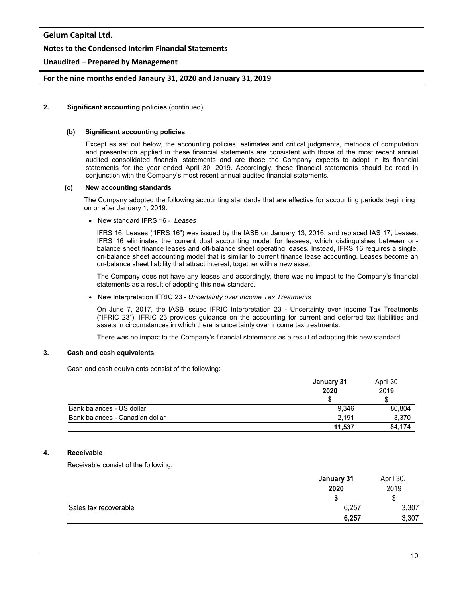## **Notes to the Condensed Interim Financial Statements**

# **Unaudited – Prepared by Management**

## **For the nine months ended Janaury 31, 2020 and January 31, 2019**

#### **2. Significant accounting policies** (continued)

#### **(b) Significant accounting policies**

Except as set out below, the accounting policies, estimates and critical judgments, methods of computation and presentation applied in these financial statements are consistent with those of the most recent annual audited consolidated financial statements and are those the Company expects to adopt in its financial statements for the year ended April 30, 2019. Accordingly, these financial statements should be read in conjunction with the Company's most recent annual audited financial statements.

#### **(c) New accounting standards**

 The Company adopted the following accounting standards that are effective for accounting periods beginning on or after January 1, 2019:

New standard IFRS 16 - *Leases* 

IFRS 16, Leases ("IFRS 16") was issued by the IASB on January 13, 2016, and replaced IAS 17, Leases. IFRS 16 eliminates the current dual accounting model for lessees, which distinguishes between onbalance sheet finance leases and off-balance sheet operating leases. Instead, IFRS 16 requires a single, on-balance sheet accounting model that is similar to current finance lease accounting. Leases become an on-balance sheet liability that attract interest, together with a new asset.

The Company does not have any leases and accordingly, there was no impact to the Company's financial statements as a result of adopting this new standard.

New Interpretation IFRIC 23 - *Uncertainty over Income Tax Treatments* 

On June 7, 2017, the IASB issued IFRIC Interpretation 23 - Uncertainty over Income Tax Treatments ("IFRIC 23"). IFRIC 23 provides guidance on the accounting for current and deferred tax liabilities and assets in circumstances in which there is uncertainty over income tax treatments.

There was no impact to the Company's financial statements as a result of adopting this new standard.

# **3. Cash and cash equivalents**

Cash and cash equivalents consist of the following:

|                                 | January 31<br>2020 | April 30<br>2019 |
|---------------------------------|--------------------|------------------|
|                                 |                    |                  |
| Bank balances - US dollar       | 9,346              | 80,804           |
| Bank balances - Canadian dollar | 2.191              | 3,370            |
|                                 | 11.537             | 84.174           |

# **4. Receivable**

Receivable consist of the following:

|                       | January 31<br>2020 | April 30,<br>2019 |
|-----------------------|--------------------|-------------------|
|                       |                    |                   |
| Sales tax recoverable | 6,257              | 3,307             |
|                       | 6,257              | 3,307             |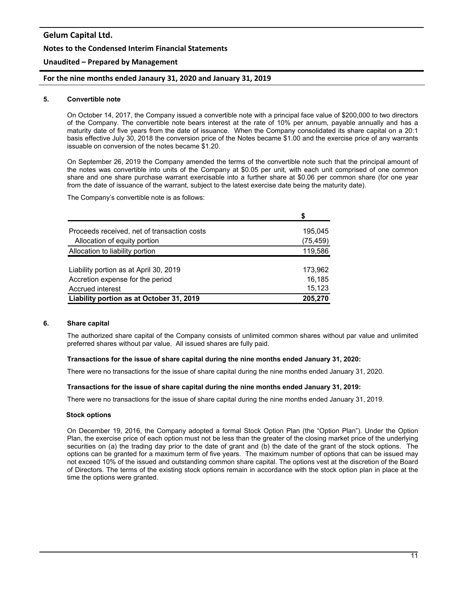### **Notes to the Condensed Interim Financial Statements**

## **Unaudited – Prepared by Management**

## **For the nine months ended Janaury 31, 2020 and January 31, 2019**

#### **5. Convertible note**

On October 14, 2017, the Company issued a convertible note with a principal face value of \$200,000 to two directors of the Company. The convertible note bears interest at the rate of 10% per annum, payable annually and has a maturity date of five years from the date of issuance. When the Company consolidated its share capital on a 20:1 basis effective July 30, 2018 the conversion price of the Notes became \$1.00 and the exercise price of any warrants issuable on conversion of the notes became \$1.20.

On September 26, 2019 the Company amended the terms of the convertible note such that the principal amount of the notes was convertible into units of the Company at \$0.05 per unit, with each unit comprised of one common share and one share purchase warrant exercisable into a further share at \$0.06 per common share (for one year from the date of issuance of the warrant, subject to the latest exercise date being the maturity date).

The Company's convertible note is as follows:

|                                             | S         |
|---------------------------------------------|-----------|
| Proceeds received, net of transaction costs | 195,045   |
| Allocation of equity portion                | (75, 459) |
| Allocation to liability portion             | 119,586   |
|                                             |           |
| Liability portion as at April 30, 2019      | 173,962   |
| Accretion expense for the period            | 16,185    |
| Accrued interest                            | 15,123    |
| Liability portion as at October 31, 2019    | 205,270   |

#### **6. Share capital**

The authorized share capital of the Company consists of unlimited common shares without par value and unlimited preferred shares without par value. All issued shares are fully paid.

#### **Transactions for the issue of share capital during the nine months ended January 31, 2020:**

There were no transactions for the issue of share capital during the nine months ended January 31, 2020.

#### **Transactions for the issue of share capital during the nine months ended January 31, 2019:**

There were no transactions for the issue of share capital during the nine months ended January 31, 2019.

#### **Stock options**

On December 19, 2016, the Company adopted a formal Stock Option Plan (the "Option Plan"). Under the Option Plan, the exercise price of each option must not be less than the greater of the closing market price of the underlying securities on (a) the trading day prior to the date of grant and (b) the date of the grant of the stock options. The options can be granted for a maximum term of five years. The maximum number of options that can be issued may not exceed 10% of the issued and outstanding common share capital. The options vest at the discretion of the Board of Directors. The terms of the existing stock options remain in accordance with the stock option plan in place at the time the options were granted.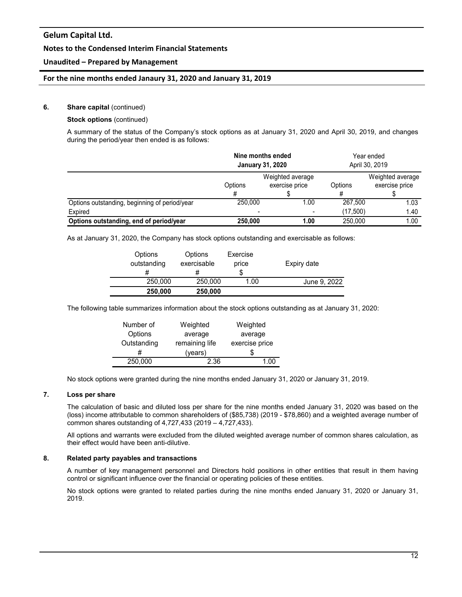## **Notes to the Condensed Interim Financial Statements**

# **Unaudited – Prepared by Management**

## **For the nine months ended Janaury 31, 2020 and January 31, 2019**

#### **6.** Share capital (continued)

#### **Stock options** (continued)

A summary of the status of the Company's stock options as at January 31, 2020 and April 30, 2019, and changes during the period/year then ended is as follows:

|                                               | Nine months ended<br><b>January 31, 2020</b> |                                    | Year ended<br>April 30, 2019 |                                    |
|-----------------------------------------------|----------------------------------------------|------------------------------------|------------------------------|------------------------------------|
|                                               | Options                                      | Weighted average<br>exercise price | Options                      | Weighted average<br>exercise price |
|                                               |                                              |                                    |                              |                                    |
| Options outstanding, beginning of period/year | 250,000                                      | 1.00                               | 267.500                      | 1.03                               |
| Expired                                       | -                                            |                                    | (17,500)                     | 1.40                               |
| Options outstanding, end of period/year       | 250,000                                      | 1.00                               | 250,000                      | 1.00                               |

As at January 31, 2020, the Company has stock options outstanding and exercisable as follows:

| Options<br>outstanding<br># | Options<br>exercisable<br># | Exercise<br>price | Expiry date  |
|-----------------------------|-----------------------------|-------------------|--------------|
| 250,000                     | 250,000                     | 1.00              | June 9, 2022 |
| 250,000                     | 250,000                     |                   |              |

The following table summarizes information about the stock options outstanding as at January 31, 2020:

| Number of   | Weighted       | Weighted       |  |
|-------------|----------------|----------------|--|
| Options     | average        | average        |  |
| Outstanding | remaining life | exercise price |  |
|             | (years)        | Ж              |  |
| 250,000     | 2.36           | 1 በበ           |  |

No stock options were granted during the nine months ended January 31, 2020 or January 31, 2019.

#### **7. Loss per share**

The calculation of basic and diluted loss per share for the nine months ended January 31, 2020 was based on the (loss) income attributable to common shareholders of (\$85,738) (2019 - \$78,860) and a weighted average number of common shares outstanding of 4,727,433 (2019 – 4,727,433).

All options and warrants were excluded from the diluted weighted average number of common shares calculation, as their effect would have been anti-dilutive.

#### **8. Related party payables and transactions**

A number of key management personnel and Directors hold positions in other entities that result in them having control or significant influence over the financial or operating policies of these entities.

No stock options were granted to related parties during the nine months ended January 31, 2020 or January 31, 2019.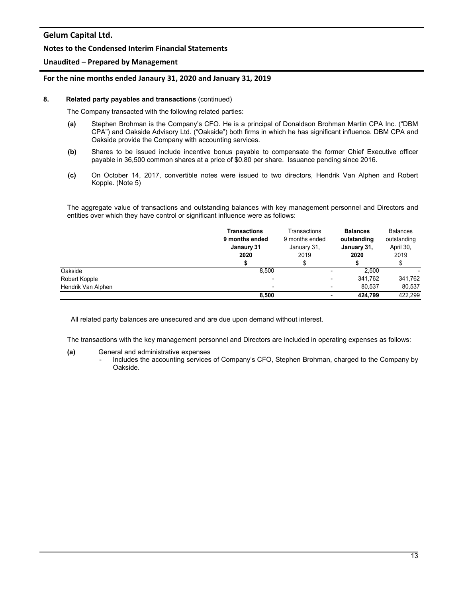## **Notes to the Condensed Interim Financial Statements**

## **Unaudited – Prepared by Management**

## **For the nine months ended Janaury 31, 2020 and January 31, 2019**

#### **8. Related party payables and transactions** (continued)

The Company transacted with the following related parties:

- **(a)** Stephen Brohman is the Company's CFO. He is a principal of Donaldson Brohman Martin CPA Inc. ("DBM CPA") and Oakside Advisory Ltd. ("Oakside") both firms in which he has significant influence. DBM CPA and Oakside provide the Company with accounting services.
- **(b)** Shares to be issued include incentive bonus payable to compensate the former Chief Executive officer payable in 36,500 common shares at a price of \$0.80 per share. Issuance pending since 2016.
- **(c)** On October 14, 2017, convertible notes were issued to two directors, Hendrik Van Alphen and Robert Kopple. (Note 5)

The aggregate value of transactions and outstanding balances with key management personnel and Directors and entities over which they have control or significant influence were as follows:

|                    | <b>Transactions</b><br>9 months ended<br>Janaury 31<br>2020 | Transactions<br>9 months ended<br>January 31,<br>2019 | <b>Balances</b><br>outstanding<br>January 31,<br>2020 | <b>Balances</b><br>outstanding<br>April 30,<br>2019 |
|--------------------|-------------------------------------------------------------|-------------------------------------------------------|-------------------------------------------------------|-----------------------------------------------------|
|                    |                                                             |                                                       |                                                       |                                                     |
| Oakside            | 8.500                                                       |                                                       | 2.500                                                 |                                                     |
| Robert Kopple      |                                                             |                                                       | 341.762                                               | 341,762                                             |
| Hendrik Van Alphen |                                                             |                                                       | 80.537                                                | 80,537                                              |
|                    | 8.500                                                       |                                                       | 424.799                                               | 422.299                                             |

All related party balances are unsecured and are due upon demand without interest.

The transactions with the key management personnel and Directors are included in operating expenses as follows:

#### **(a)** General and administrative expenses

- Includes the accounting services of Company's CFO, Stephen Brohman, charged to the Company by Oakside.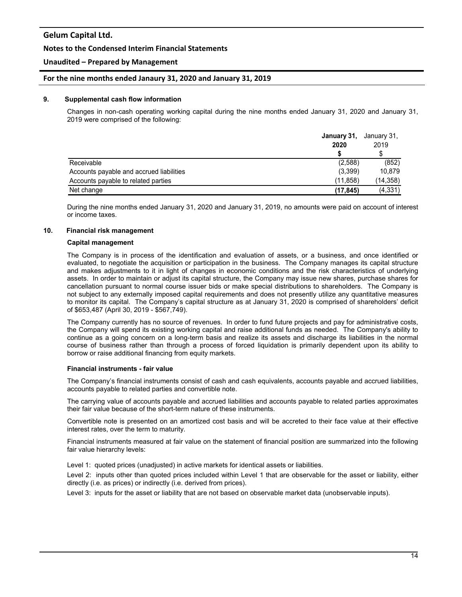## **Notes to the Condensed Interim Financial Statements**

## **Unaudited – Prepared by Management**

### **For the nine months ended Janaury 31, 2020 and January 31, 2019**

#### **9. Supplemental cash flow information**

Changes in non-cash operating working capital during the nine months ended January 31, 2020 and January 31, 2019 were comprised of the following:

|                                          | January 31,<br>2020 | January 31,<br>2019<br>\$ |
|------------------------------------------|---------------------|---------------------------|
|                                          |                     |                           |
| Receivable                               | (2,588)             | (852)                     |
| Accounts payable and accrued liabilities | (3,399)             | 10,879                    |
| Accounts payable to related parties      | (11.858)            | (14,358)                  |
| Net change                               | (17, 845)           | (4, 331)                  |

During the nine months ended January 31, 2020 and January 31, 2019, no amounts were paid on account of interest or income taxes.

#### **10. Financial risk management**

#### **Capital management**

The Company is in process of the identification and evaluation of assets, or a business, and once identified or evaluated, to negotiate the acquisition or participation in the business. The Company manages its capital structure and makes adjustments to it in light of changes in economic conditions and the risk characteristics of underlying assets. In order to maintain or adjust its capital structure, the Company may issue new shares, purchase shares for cancellation pursuant to normal course issuer bids or make special distributions to shareholders. The Company is not subject to any externally imposed capital requirements and does not presently utilize any quantitative measures to monitor its capital. The Company's capital structure as at January 31, 2020 is comprised of shareholders' deficit of \$653,487 (April 30, 2019 - \$567,749).

The Company currently has no source of revenues. In order to fund future projects and pay for administrative costs, the Company will spend its existing working capital and raise additional funds as needed. The Company's ability to continue as a going concern on a long-term basis and realize its assets and discharge its liabilities in the normal course of business rather than through a process of forced liquidation is primarily dependent upon its ability to borrow or raise additional financing from equity markets.

#### **Financial instruments - fair value**

The Company's financial instruments consist of cash and cash equivalents, accounts payable and accrued liabilities, accounts payable to related parties and convertible note.

The carrying value of accounts payable and accrued liabilities and accounts payable to related parties approximates their fair value because of the short-term nature of these instruments.

Convertible note is presented on an amortized cost basis and will be accreted to their face value at their effective interest rates, over the term to maturity.

Financial instruments measured at fair value on the statement of financial position are summarized into the following fair value hierarchy levels:

Level 1: quoted prices (unadjusted) in active markets for identical assets or liabilities.

Level 2: inputs other than quoted prices included within Level 1 that are observable for the asset or liability, either directly (i.e. as prices) or indirectly (i.e. derived from prices).

Level 3: inputs for the asset or liability that are not based on observable market data (unobservable inputs).